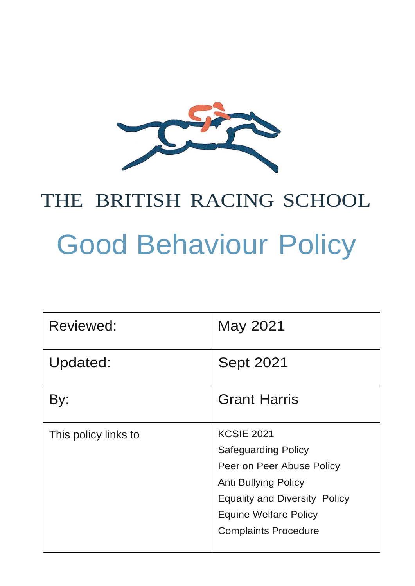

# THE BRITISH RACING SCHOOL Good Behaviour Policy

| Reviewed:            | May 2021                                                                                                                                                                                                           |
|----------------------|--------------------------------------------------------------------------------------------------------------------------------------------------------------------------------------------------------------------|
| Updated:             | <b>Sept 2021</b>                                                                                                                                                                                                   |
| By:                  | <b>Grant Harris</b>                                                                                                                                                                                                |
| This policy links to | <b>KCSIE 2021</b><br><b>Safeguarding Policy</b><br>Peer on Peer Abuse Policy<br><b>Anti Bullying Policy</b><br><b>Equality and Diversity Policy</b><br><b>Equine Welfare Policy</b><br><b>Complaints Procedure</b> |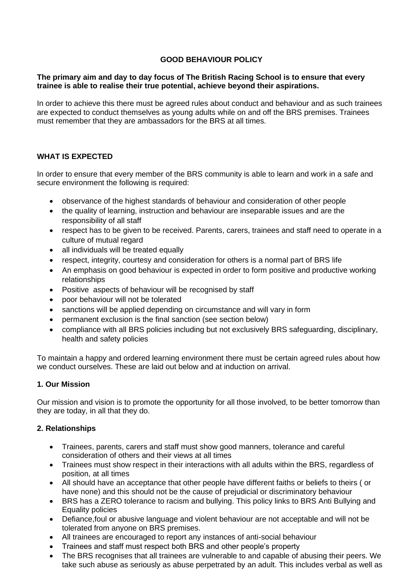# **GOOD BEHAVIOUR POLICY**

# **The primary aim and day to day focus of The British Racing School is to ensure that every trainee is able to realise their true potential, achieve beyond their aspirations.**

In order to achieve this there must be agreed rules about conduct and behaviour and as such trainees are expected to conduct themselves as young adults while on and off the BRS premises. Trainees must remember that they are ambassadors for the BRS at all times.

# **WHAT IS EXPECTED**

In order to ensure that every member of the BRS community is able to learn and work in a safe and secure environment the following is required:

- observance of the highest standards of behaviour and consideration of other people
- the quality of learning, instruction and behaviour are inseparable issues and are the responsibility of all staff
- respect has to be given to be received. Parents, carers, trainees and staff need to operate in a culture of mutual regard
- all individuals will be treated equally
- respect, integrity, courtesy and consideration for others is a normal part of BRS life
- An emphasis on good behaviour is expected in order to form positive and productive working relationships
- Positive aspects of behaviour will be recognised by staff
- poor behaviour will not be tolerated
- sanctions will be applied depending on circumstance and will vary in form
- permanent exclusion is the final sanction (see section below)
- compliance with all BRS policies including but not exclusively BRS safeguarding, disciplinary, health and safety policies

To maintain a happy and ordered learning environment there must be certain agreed rules about how we conduct ourselves. These are laid out below and at induction on arrival.

# **1. Our Mission**

Our mission and vision is to promote the opportunity for all those involved, to be better tomorrow than they are today, in all that they do.

# **2. Relationships**

- Trainees, parents, carers and staff must show good manners, tolerance and careful consideration of others and their views at all times
- Trainees must show respect in their interactions with all adults within the BRS, regardless of position, at all times
- All should have an acceptance that other people have different faiths or beliefs to theirs ( or have none) and this should not be the cause of prejudicial or discriminatory behaviour
- BRS has a ZERO tolerance to racism and bullying. This policy links to BRS Anti Bullying and Equality policies
- Defiance,foul or abusive language and violent behaviour are not acceptable and will not be tolerated from anyone on BRS premises.
- All trainees are encouraged to report any instances of anti-social behaviour
- Trainees and staff must respect both BRS and other people's property
- The BRS recognises that all trainees are vulnerable to and capable of abusing their peers. We take such abuse as seriously as abuse perpetrated by an adult. This includes verbal as well as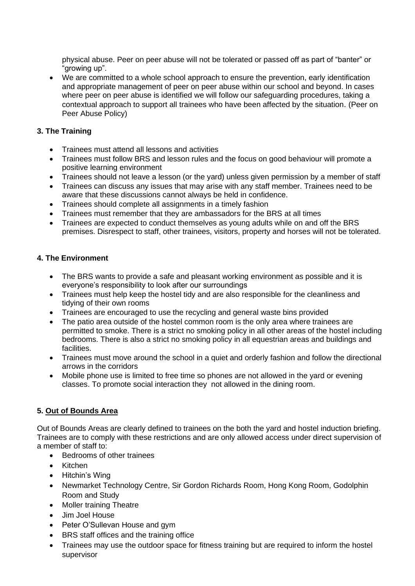physical abuse. Peer on peer abuse will not be tolerated or passed off as part of "banter" or "growing up".

• We are committed to a whole school approach to ensure the prevention, early identification and appropriate management of peer on peer abuse within our school and beyond. In cases where peer on peer abuse is identified we will follow our safeguarding procedures, taking a contextual approach to support all trainees who have been affected by the situation. (Peer on Peer Abuse Policy)

# **3. The Training**

- Trainees must attend all lessons and activities
- Trainees must follow BRS and lesson rules and the focus on good behaviour will promote a positive learning environment
- Trainees should not leave a lesson (or the yard) unless given permission by a member of staff
- Trainees can discuss any issues that may arise with any staff member. Trainees need to be aware that these discussions cannot always be held in confidence.
- Trainees should complete all assignments in a timely fashion
- Trainees must remember that they are ambassadors for the BRS at all times
- Trainees are expected to conduct themselves as young adults while on and off the BRS premises. Disrespect to staff, other trainees, visitors, property and horses will not be tolerated.

# **4. The Environment**

- The BRS wants to provide a safe and pleasant working environment as possible and it is everyone's responsibility to look after our surroundings
- Trainees must help keep the hostel tidy and are also responsible for the cleanliness and tidying of their own rooms
- Trainees are encouraged to use the recycling and general waste bins provided
- The patio area outside of the hostel common room is the only area where trainees are permitted to smoke. There is a strict no smoking policy in all other areas of the hostel including bedrooms. There is also a strict no smoking policy in all equestrian areas and buildings and facilities.
- Trainees must move around the school in a quiet and orderly fashion and follow the directional arrows in the corridors
- Mobile phone use is limited to free time so phones are not allowed in the yard or evening classes. To promote social interaction they not allowed in the dining room.

# **5. Out of Bounds Area**

Out of Bounds Areas are clearly defined to trainees on the both the yard and hostel induction briefing. Trainees are to comply with these restrictions and are only allowed access under direct supervision of a member of staff to:

- Bedrooms of other trainees
- Kitchen
- Hitchin's Wing
- Newmarket Technology Centre, Sir Gordon Richards Room, Hong Kong Room, Godolphin Room and Study
- Moller training Theatre
- Jim Joel House
- Peter O'Sullevan House and gym
- BRS staff offices and the training office
- Trainees may use the outdoor space for fitness training but are required to inform the hostel supervisor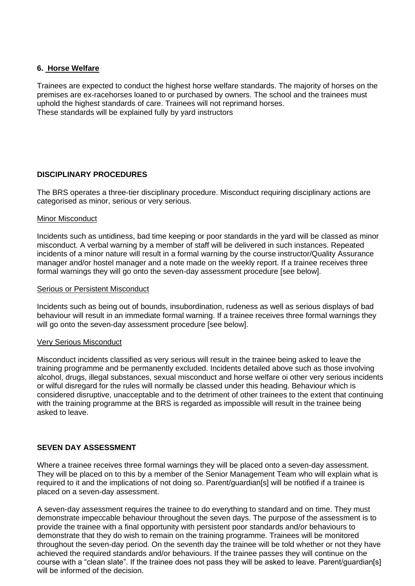# **6. Horse Welfare**

Trainees are expected to conduct the highest horse welfare standards. The majority of horses on the premises are ex-racehorses loaned to or purchased by owners. The school and the trainees must uphold the highest standards of care. Trainees will not reprimand horses. These standards will be explained fully by yard instructors

# **DISCIPLINARY PROCEDURES**

The BRS operates a three-tier disciplinary procedure. Misconduct requiring disciplinary actions are categorised as minor, serious or very serious.

#### Minor Misconduct

Incidents such as untidiness, bad time keeping or poor standards in the yard will be classed as minor misconduct. A verbal warning by a member of staff will be delivered in such instances. Repeated incidents of a minor nature will result in a formal warning by the course instructor/Quality Assurance manager and/or hostel manager and a note made on the weekly report. If a trainee receives three formal warnings they will go onto the seven-day assessment procedure [see below].

#### Serious or Persistent Misconduct

Incidents such as being out of bounds, insubordination, rudeness as well as serious displays of bad behaviour will result in an immediate formal warning. If a trainee receives three formal warnings they will go onto the seven-day assessment procedure [see below].

#### Very Serious Misconduct

Misconduct incidents classified as very serious will result in the trainee being asked to leave the training programme and be permanently excluded. Incidents detailed above such as those involving alcohol, drugs, illegal substances, sexual misconduct and horse welfare oi other very serious incidents or wilful disregard for the rules will normally be classed under this heading. Behaviour which is considered disruptive, unacceptable and to the detriment of other trainees to the extent that continuing with the training programme at the BRS is regarded as impossible will result in the trainee being asked to leave.

# **SEVEN DAY ASSESSMENT**

Where a trainee receives three formal warnings they will be placed onto a seven-day assessment. They will be placed on to this by a member of the Senior Management Team who will explain what is required to it and the implications of not doing so. Parent/guardian[s] will be notified if a trainee is placed on a seven-day assessment.

A seven-day assessment requires the trainee to do everything to standard and on time. They must demonstrate impeccable behaviour throughout the seven days. The purpose of the assessment is to provide the trainee with a final opportunity with persistent poor standards and/or behaviours to demonstrate that they do wish to remain on the training programme. Trainees will be monitored throughout the seven-day period. On the seventh day the trainee will be told whether or not they have achieved the required standards and/or behaviours. If the trainee passes they will continue on the course with a "clean slate". If the trainee does not pass they will be asked to leave. Parent/guardian[s] will be informed of the decision.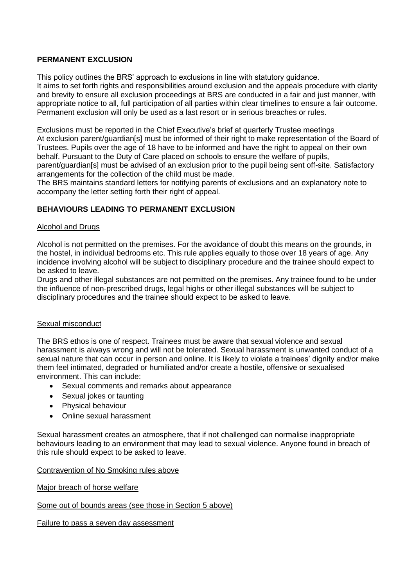# **PERMANENT EXCLUSION**

This policy outlines the BRS' approach to exclusions in line with statutory guidance. It aims to set forth rights and responsibilities around exclusion and the appeals procedure with clarity and brevity to ensure all exclusion proceedings at BRS are conducted in a fair and just manner, with appropriate notice to all, full participation of all parties within clear timelines to ensure a fair outcome. Permanent exclusion will only be used as a last resort or in serious breaches or rules.

Exclusions must be reported in the Chief Executive's brief at quarterly Trustee meetings At exclusion parent/guardian[s] must be informed of their right to make representation of the Board of Trustees. Pupils over the age of 18 have to be informed and have the right to appeal on their own behalf. Pursuant to the Duty of Care placed on schools to ensure the welfare of pupils,

parent/guardian[s] must be advised of an exclusion prior to the pupil being sent off-site. Satisfactory arrangements for the collection of the child must be made.

The BRS maintains standard letters for notifying parents of exclusions and an explanatory note to accompany the letter setting forth their right of appeal.

# **BEHAVIOURS LEADING TO PERMANENT EXCLUSION**

# Alcohol and Drugs

Alcohol is not permitted on the premises. For the avoidance of doubt this means on the grounds, in the hostel, in individual bedrooms etc. This rule applies equally to those over 18 years of age. Any incidence involving alcohol will be subject to disciplinary procedure and the trainee should expect to be asked to leave.

Drugs and other illegal substances are not permitted on the premises. Any trainee found to be under the influence of non-prescribed drugs, legal highs or other illegal substances will be subject to disciplinary procedures and the trainee should expect to be asked to leave.

# Sexual misconduct

The BRS ethos is one of respect. Trainees must be aware that sexual violence and sexual harassment is always wrong and will not be tolerated. Sexual harassment is unwanted conduct of a sexual nature that can occur in person and online. It is likely to violate a trainees' dignity and/or make them feel intimated, degraded or humiliated and/or create a hostile, offensive or sexualised environment. This can include:

- Sexual comments and remarks about appearance
- Sexual jokes or taunting
- Physical behaviour
- Online sexual harassment

Sexual harassment creates an atmosphere, that if not challenged can normalise inappropriate behaviours leading to an environment that may lead to sexual violence. Anyone found in breach of this rule should expect to be asked to leave.

# Contravention of No Smoking rules above

Major breach of horse welfare

Some out of bounds areas (see those in Section 5 above)

Failure to pass a seven day assessment